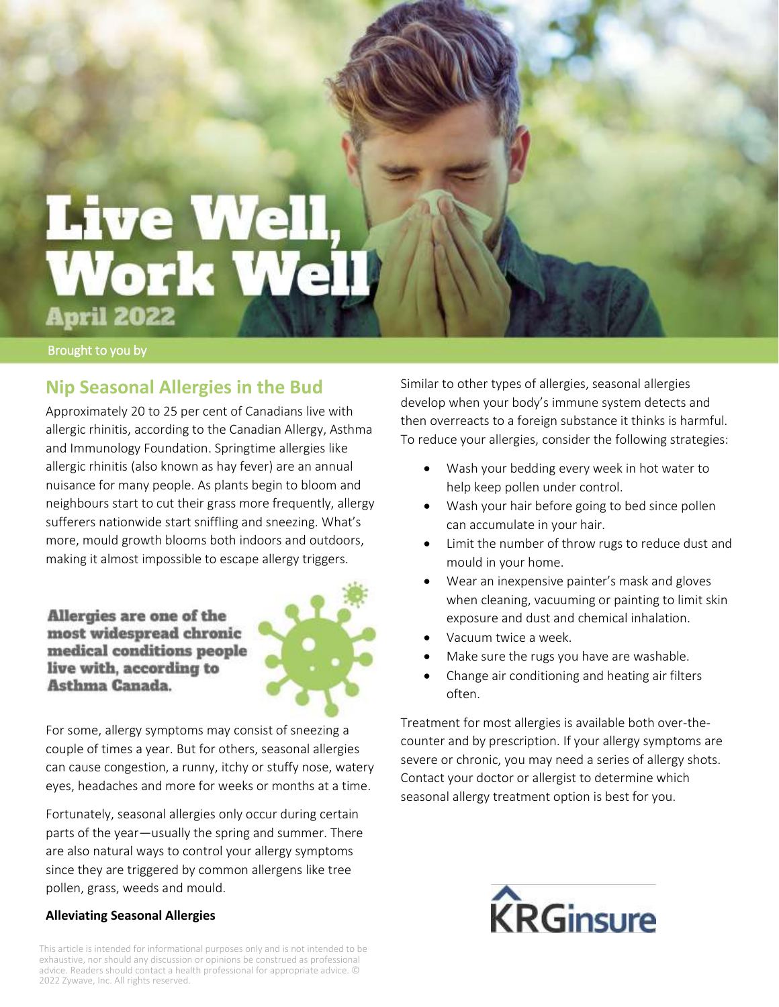# **Live Well,<br>Work Well April 2022**

Brought to you by

## **Nip Seasonal Allergies in the Bud**

Approximately 20 to 25 per cent of Canadians live with allergic rhinitis, according to the Canadian Allergy, Asthma and Immunology Foundation. Springtime allergies like allergic rhinitis (also known as hay fever) are an annual nuisance for many people. As plants begin to bloom and neighbours start to cut their grass more frequently, allergy sufferers nationwide start sniffling and sneezing. What's more, mould growth blooms both indoors and outdoors, making it almost impossible to escape allergy triggers.

Allergies are one of the most widespread chronic medical conditions people live with, according to Asthma Canada.



For some, allergy symptoms may consist of sneezing a couple of times a year. But for others, seasonal allergies can cause congestion, a runny, itchy or stuffy nose, watery eyes, headaches and more for weeks or months at a time.

Fortunately, seasonal allergies only occur during certain parts of the year—usually the spring and summer. There are also natural ways to control your allergy symptoms since they are triggered by common allergens like tree pollen, grass, weeds and mould.

#### **Alleviating Seasonal Allergies**

This article is intended for informational purposes only and is not intended to be exhaustive, nor should any discussion or opinions be construed as professional advice. Readers should contact a health professional for appropriate advice. © 2022 Zywave, Inc. All rights reserved.

Similar to other types of allergies, seasonal allergies develop when your body's immune system detects and then overreacts to a foreign substance it thinks is harmful. To reduce your allergies, consider the following strategies:

- Wash your bedding every week in hot water to help keep pollen under control.
- Wash your hair before going to bed since pollen can accumulate in your hair.
- Limit the number of throw rugs to reduce dust and mould in your home.
- Wear an inexpensive painter's mask and gloves when cleaning, vacuuming or painting to limit skin exposure and dust and chemical inhalation.
- Vacuum twice a week.
- Make sure the rugs you have are washable.
- Change air conditioning and heating air filters often.

Treatment for most allergies is available both over-thecounter and by prescription. If your allergy symptoms are severe or chronic, you may need a series of allergy shots. Contact your doctor or allergist to determine which seasonal allergy treatment option is best for you.